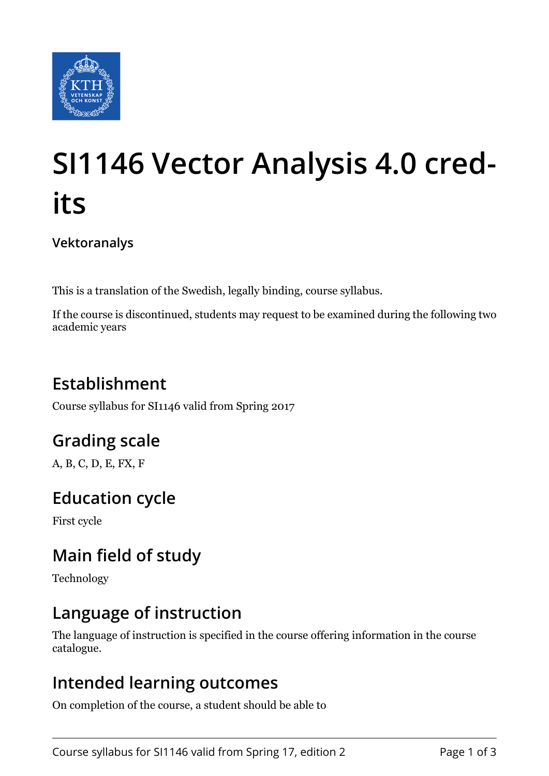

# **SI1146 Vector Analysis 4.0 credits**

**Vektoranalys**

This is a translation of the Swedish, legally binding, course syllabus.

If the course is discontinued, students may request to be examined during the following two academic years

# **Establishment**

Course syllabus for SI1146 valid from Spring 2017

# **Grading scale**

A, B, C, D, E, FX, F

## **Education cycle**

First cycle

# **Main field of study**

Technology

## **Language of instruction**

The language of instruction is specified in the course offering information in the course catalogue.

## **Intended learning outcomes**

On completion of the course, a student should be able to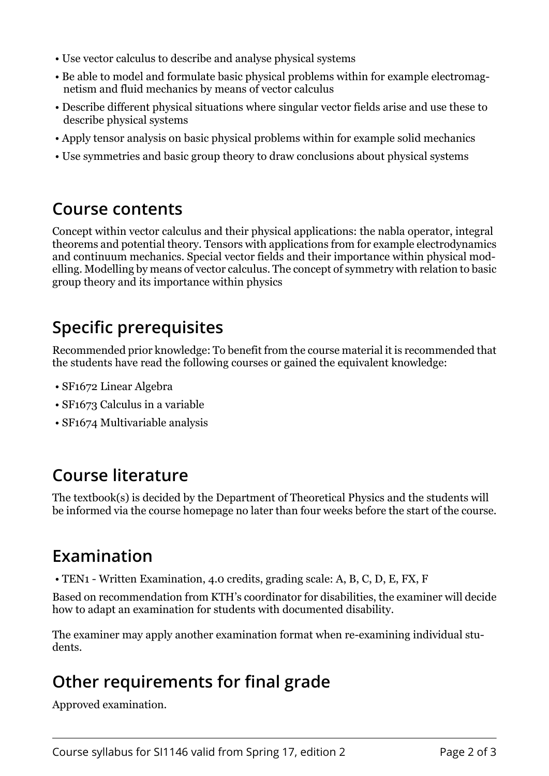- Use vector calculus to describe and analyse physical systems
- Be able to model and formulate basic physical problems within for example electromagnetism and fluid mechanics by means of vector calculus
- Describe different physical situations where singular vector fields arise and use these to describe physical systems
- Apply tensor analysis on basic physical problems within for example solid mechanics
- Use symmetries and basic group theory to draw conclusions about physical systems

#### **Course contents**

Concept within vector calculus and their physical applications: the nabla operator, integral theorems and potential theory. Tensors with applications from for example electrodynamics and continuum mechanics. Special vector fields and their importance within physical modelling. Modelling by means of vector calculus. The concept of symmetry with relation to basic group theory and its importance within physics

## **Specific prerequisites**

Recommended prior knowledge: To benefit from the course material it is recommended that the students have read the following courses or gained the equivalent knowledge:

- SF1672 Linear Algebra
- SF1673 Calculus in a variable
- SF1674 Multivariable analysis

## **Course literature**

The textbook(s) is decided by the Department of Theoretical Physics and the students will be informed via the course homepage no later than four weeks before the start of the course.

## **Examination**

• TEN1 - Written Examination, 4.0 credits, grading scale: A, B, C, D, E, FX, F

Based on recommendation from KTH's coordinator for disabilities, the examiner will decide how to adapt an examination for students with documented disability.

The examiner may apply another examination format when re-examining individual students.

## **Other requirements for final grade**

Approved examination.